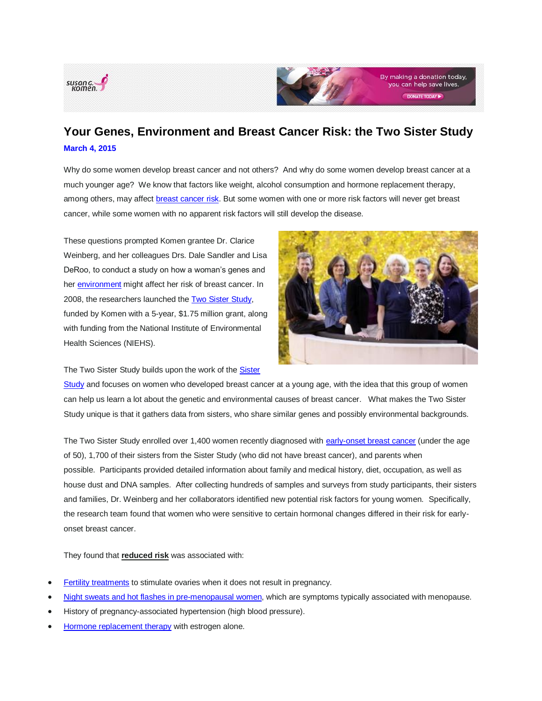



## **Your Genes, Environment and Breast Cancer Risk: the Two Sister Study [March 4,](http://blog.komen.org/?p=5282) 2015**

Why do some women develop breast cancer and not others? And why do some women develop breast cancer at a much younger age? We know that factors like weight, alcohol consumption and hormone replacement therapy, among others, may affect [breast cancer risk.](http://ww5.komen.org/BreastCancer/LowerYourRisk.html) But some women with one or more risk factors will never get breast cancer, while some women with no apparent risk factors will still develop the disease.

These questions prompted Komen grantee Dr. Clarice Weinberg, and her colleagues Drs. Dale Sandler and Lisa DeRoo, to conduct a study on how a woman's genes and her [environment](http://ww5.komen.org/BreastCancer/BreastCancerandtheEnvironment.html) might affect her risk of breast cancer. In 2008, the researchers launched the [Two Sister Study,](http://www.sisterstudy.niehs.nih.gov/English/2sis.htm) funded by Komen with a 5-year, \$1.75 million grant, along with funding from the National Institute of Environmental Health Sciences (NIEHS).

The Two [Sister](http://www.sisterstudy.niehs.nih.gov/English/about-intro.htm) Study builds upon the work of the **Sister** 

[Study](http://www.sisterstudy.niehs.nih.gov/English/about-intro.htm) and focuses on women who developed breast cancer at a young age, with the idea that this group of women can help us learn a lot about the genetic and environmental causes of breast cancer. What makes the Two Sister Study unique is that it gathers data from sisters, who share similar genes and possibly environmental backgrounds.

The Two Sister Study enrolled over 1,400 women recently diagnosed with [early-onset breast cancer](http://ww5.komen.org/KomenPerspectives/Breast-Cancer-in-Women-Younger-than-40.html) (under the age of 50), 1,700 of their sisters from the Sister Study (who did not have breast cancer), and parents when possible. Participants provided detailed information about family and medical history, diet, occupation, as well as house dust and DNA samples. After collecting hundreds of samples and surveys from study participants, their sisters and families, Dr. Weinberg and her collaborators identified new potential risk factors for young women. Specifically, the research team found that women who were sensitive to certain hormonal changes differed in their risk for earlyonset breast cancer.

They found that **reduced risk** was associated with:

- [Fertility treatments](http://jnci.oxfordjournals.org/content/104/13/1021.long) to stimulate ovaries when it does not result in pregnancy.
- [Night sweats and hot flashes in pre-menopausal women,](http://cebp.aacrjournals.org/content/20/2/379) which are symptoms typically associated with menopause.
- History of pregnancy-associated hypertension (high blood pressure).
- [Hormone replacement therapy](http://aje.oxfordjournals.org/content/early/2015/02/18/aje.kwu347.full) with estrogen alone.